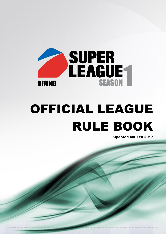

# OFFICIAL LEAGUE RULE BOOK

zz Page 1911 - 1922 - 1922 - 1922 - 1922 - 1922 - 1922 - 1922 - 1922 - 1922 - 1922 - 1922 - 1922 - 1922 - 192

Updated on: Feb 2017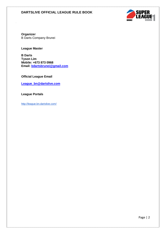

**Organizer** B Darts Company Brunei

**League Master**

**B Darts Tyson Lim Mobile: +673 873 0968 Email: [bdartsbrunei@gmail.com](mailto:bdartsbrunei@gmail.com)**

**Official League Email**

**[League\\_bn@dartslive.com](mailto:League_bn@dartslive.com)**

**League Portals**

<http://league.bn.dartslive.com/>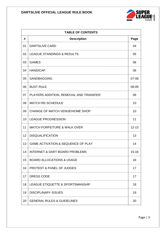

| <b>TABLE OF CONTENTS</b> |                                               |           |  |  |
|--------------------------|-----------------------------------------------|-----------|--|--|
| #                        | <b>Description</b>                            | Page      |  |  |
| 01                       | <b>DARTSLIVE CARD</b>                         | 04        |  |  |
| 02                       | <b>LEAGUE STANDINGS &amp; RESULTS</b>         | 05        |  |  |
| 03                       | <b>GAMES</b>                                  | 06        |  |  |
| 04                       | <b>HANDICAP</b>                               | 06        |  |  |
| 05                       | <b>SANDBAGGING</b>                            | 07-08     |  |  |
| 06                       | <b>BUST RULE</b>                              | 08-09     |  |  |
| 07                       | PLAYERS ADDITION, REMOVAL AND TRANSFER        | 09        |  |  |
| 08                       | <b>MATCH RE-SCHEDULE</b>                      | 10        |  |  |
| 09                       | CHANGE OF MATCH VENUE/HOME SHOP               | 10        |  |  |
| 10                       | <b>LEAGUE PROGRESSION</b>                     | 11        |  |  |
| 11                       | <b>MATCH FORFEITURE &amp; WALK OVER</b>       | $12 - 13$ |  |  |
| 12                       | <b>DISQUALIFICATION</b>                       | 13        |  |  |
| 13                       | <b>GAME ACTIVATION &amp; SEQUENCE OF PLAY</b> | 14        |  |  |
| 14                       | <b>INTERNET &amp; DART BOARD PROBLEMS</b>     | $15 - 16$ |  |  |
| 15                       | <b>BOARD ALLOCATIONS &amp; USAGE</b>          | 16        |  |  |
| 16                       | <b>PROTEST &amp; PANEL OF JUDGES</b>          | 17        |  |  |
| 17                       | <b>DRESS CODE</b>                             | 17        |  |  |
| 18                       | LEAGUE ETIQUETTE & SPORTSMANSHIP              | 18        |  |  |
| 19                       | <b>DISCIPLINARY ISSUES</b>                    | 19        |  |  |
| 20                       | <b>GENERAL RULES &amp; GUIDELINES</b>         | 20        |  |  |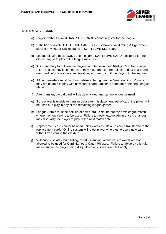

## **1. DARTSLIVE CARD**

- a) Players without a valid DARTSLIVE CARD cannot register for the league.
- b) Definition of a valid DARTSLIVE CARD is it must have a valid rating & flight when playing any x01 or Cricket game in DARTSLIVE DL2 Board.
- c) League players must always use the same DARTSLIVE CARD registered for the official league to play in the league matches.
- d) It is mandatory for all League players to note down their 16-digit Card No. & login PIN. In case they lose their card, they must transfer their old card data to a brand new card, inform league administration, in order to continue playing in the league.
- e) All card transfers must be done **before** entering League Menu on DL2. Players may not be able to play with new card if card transfer is done after entering League Menu.
- f) After transfer, the old card will be deactivated and can no longer be used.
- g) If the player is unable to transfer data after misplacement/lost of card, the player will be unable to play in any of the remaining league games.
- h) League Admin must be notified of new Card ID No. before the next league match where the new card is to be used. Failure to notify league admin of card changes may disqualify the player to play in the next match date.
- i) Replacement card cannot be used unless lost card data has been transferred to the replacement card. Online system will reject player who tries to use a new card without transferring the old data.
- j) Vulgarities, sexists, humiliating, racists, insulting, offensive, etc words are not allowed to be used for Card Names & Catch Phrases. Failure to abide by this rule may result in the player being disqualified & suspension rules apply.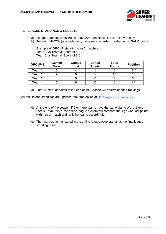

## **2. LEAGUE STANDINGS & RESULTS**

- a) League Standing is based on total GAME points (5-4, 6-3, etc.) won only:
- b) For each MATCH (one night) win, the team is awarded 1 extra bonus GAME points.

Example of GROUP standing after 2 matches: Team 1 vs Team 3: Score of 5-4 Team 2 vs Team 4: Score of 9-0

| <b>GROUP 1</b> | <b>Games</b><br>Won | Games<br>Lost | <b>Bonus</b><br><b>Points</b> | <b>Total</b><br><b>Points</b> | <b>Position</b> |
|----------------|---------------------|---------------|-------------------------------|-------------------------------|-----------------|
| Team 1         |                     |               |                               |                               | 2 <sup>nd</sup> |
| Team 2         |                     |               |                               |                               | 1 st            |
| Team 3         |                     |               |                               |                               | 3 <sup>rd</sup> |
| Team 4         |                     |               |                               |                               | 4 <sup>th</sup> |

c) Total number of points at the end of the Season will determine their rankings.

All results and standings are updated real-time online at <http://league.bn.dartslive.com/>

- d) At the end of the season, if 2 or more teams have the same Game Won, Game Lost & Total Points, the online league system will compare the legs won/lost points within each match and rank the teams accordingly.
- e) The final position as stated in the online league page stands as the final league standing result.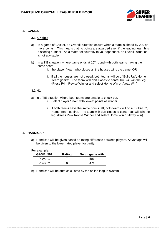

## **3. GAMES**

#### **3.1 Cricket**

- a) In a game of Cricket, an Overkill situation occurs when a team is ahead by 200 or more points. This means that no points are awarded even if the leading team hits a scoring number. As a matter of courtesy to your opponent, an Overkill situation is not advisable.
- b) In a TIE situation, where game ends at  $15<sup>th</sup>$  round with both teams having the same score,
	- i. the player / team who closes all the houses wins the game, OR
	- ii. if all the houses are not closed, both teams will do a "Bulls-Up", Home Team go first. The team with dart closes to center bull will win the leg. (Press P4 – Revise Winner and select Home Win or Away Win)

## **3.2 01**

- a) In a TIE situation where both teams are unable to check out,
	- i. Select player / team with lowest points as winner.
	- ii. If both teams have the same points left, both teams will do a "Bulls-Up", Home Team go first. The team with dart closes to center bull will win the leg. (Press P4 – Revise Winner and select Home Win or Away Win)

#### **4. HANDICAP**

a) Handicap will be given based on rating difference between players. Advantage will be given to the lower rated player for parity.

For example:

| <b>GAME: 501</b> | Rating | Begin game with |
|------------------|--------|-----------------|
| Player 1         |        | 501             |
| Player 2         |        |                 |

b) Handicap will be auto calculated by the online league system.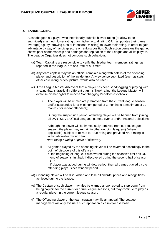

## **5. SANDBAGGING**

A sandbagger is a player who intentionally submits his/her rating (or allow to be submitted) at a much lower rating than his/her actual rating OR manipulates their game average( e.g. by throwing outs or intentional missing) to lower their rating, in order to gain advantage by way of handicap score or ranking position. Such action demeans the game, shows poor sportsmanship and damages the reputation of the League and all its players. The League Organizer does not condone such behaviour.

- (a) Team Captains are responsible to verify that his/her team members' ratings, as reported in the league, are accurate at all times;
- (b) Any team captain may file an official complain along with details of the offending player and description of the incident(s). Any evidence submitted (such as stats, other card rating, video/ picture) would also be useful
- (c) If the League Master discovers that a player has been sandbagging or playing with a rating that is drastically different than his True\* rating, the League Master will exercise his/her rights to impose Sandbagging Penalties as follows:
	- i. The player will be immediately removed from the current league season and/or suspended for a minimum period of 3 months to a maximum of 12 months (for repeat offenders);

During the suspension period, offending player will be banned from joining all DARTSLIVE Official Leagues, games, events and/or national selections.

Although the player will be immediately removed from current league season, the player may remain in other ongoing league(s) (where applicable), subject to re-rate to \*true rating and provided \*true rating is within allowable division limit;

*\*true rating = rating at point of discovery*

- ii. All games played by the offending player will be reversed accordingly to the point of discovery of this offence:-
	- > the beginning of league, if discovered during the season's first half OR
	- > end of season's first half, if discovered during the second half of season OR

> if player was added during window period, then all games played by the offending player since window period

- (d) Offending player will be disqualified and lose all awards, prizes and recognitions achieved during the league.
- (e) The Captain of such player may also be warned and/or asked to step down from being captain for the current or future league seasons, but may continue to play as a regular player in the current league season.
- (f) The Offending player or the team captain may file an appeal. The League management will only evaluate such appeal on a case-by-case basis.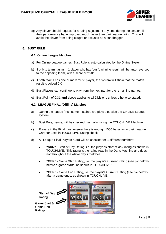(g) Any player should request for a rating adjustment any time during the season, if their performance have improved much faster than their league rating. This will avoid the player from being caught or accused as a sandbagger.

**RRIINFI** 

## **6. BUST RULE**

#### **6.1 Online League Matches**

- a) For Online League games, Bust Rule is auto-calculated by the Online System
- b) If only 1 team has min. 1 player who has 'bust', winning result, will be auto-reversed to the opposing team, with a score of "2-0".
- c) If both teams has one or more 'bust' player, the system will show that the match result is voided 0-0
- d) Bust Players can continue to play from the next part for the remaining games.
- e) Bust Point of 0.31 **and** above applies to all Divisions unless otherwise stated.

## **6.2 LEAGUE FINAL (Offline) Matches**

- a) During the league final, some matches are played outside the ONLINE League system.
- b) Bust Rule, hence, will be checked manually, using the TOUCHLIVE Machine.
- c) Players in the Final must ensure there is enough 1000 bananas in their League Card for used in TOUCHLIVE Rating check.
- d) All League Final Players' Card will be checked for 3 different numbers:
	- **"SDR"** Start of Day Rating, i.e. the player's start-of-day rating as shown in TOUCHLIVE. This rating is the rating read in the Darts Machine and does not throughout the whole day's matches.
	- **"GSR"** Game Start Rating, i.e. the player's Current Rating (see pic below) before a game starts, as shown in TOUCHLIVE;
	- **"GER"** Game End Rating, i.e. the player's Current Rating (see pic below) after a game ends, as shown in TOUCHLIVE.

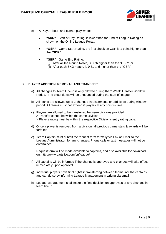

- e) A Player "bust" and cannot play when:
	- **"SDR"** Start of Day Rating, is lower than the End of League Rating as shown on the Online League Portal.
	- **"GSR"** Game Start Rating, the first check on GSR is 1 point higher than the **"SDR"**.
	- **"GER"** Game End Rating:
		- (i) After all the Round Robin, is 0.76 higher then the "GSR"; or
		- (ii) After each SKO match, is 0.31 and higher than the "GSR"

## **7. PLAYER ADDITION, REMOVAL AND TRANSFER**

- a) All changes to Team Lineup is only allowed during the 2 Week Transfer Window Period. The exact dates will be announced during the start of league.
- b) All teams are allowed up to 2 changes (replacements or additions) during window period. All teams must not exceed 6 players at any point in time.
- c) Players are allowed to be transferred between divisions provided: > Transfer cannot be within the same Division; > Players rating must be within the respective Division's entry rating caps.
- d) Once a player is removed from a division, all previous game stats & awards will be forfeited.
- e) Team Captain must submit the request form formally via Fax or Email to the League Administrator, for any changes. Phone calls or text messages will not be entertained.

Request form will be made available to captains, and also available for download on: http://www.dartslive.com/bn/league/

- f) All captains will be informed if the change is approved and changes will take effect immediately upon approval.
- g) Individual players have final rights in transferring between teams, not the captains, and can do so by informing League Management in writing via email.
- h) League Management shall make the final decision on approvals of any changes in team lineup.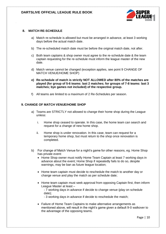

## **8. MATCH RE-SCHEDULE**

- a) Match re-schedule is allowed but must be arranged in advance, at least 3 working days before the actual match date.
- b) The re-scheduled match date must be before the original match date, not after.
- c) Both team captains & shop owner must agree to the re-schedule date & the team captain requesting for the re-schedule must inform the league master of the new date.
- d) Match venue cannot be changed (exception applies, see point 9 CHANGE OF MATCH VENUE/HOME SHOP)
- **e) Re-schedule of match is strictly NOT ALLOWED after 80% of the matches are played (for group of 5-6 teams: last 2 matches; for groups of 7-8 teams: last 3 matches; bye games not included) of the respective group.**
- f) All teams are limited to a maximum of 2 Re-Schedules per season.

## **9. CHANGE OF MATCH VENUE/HOME SHOP**

- a) Teams are STRICTLY not allowed to change their home shop during the League unless:
	- i. Home shop ceased to operate. In this case, the home team can search and request for a change of new home shop.
	- ii. Home shop is under renovation. In this case, team can request for a temporary home shop, but must return to the shop once renovation is completed.
- b) For change of Match Venue for a night's game for other reasons, eg. Home Shop has private event:
	- Home Shop owner must notify Home Team Captain at least 7 working days in advance about the event; Home Shop if repeatedly fails to do so, despite warnings, may be ban as future league location;
	- Home team captain must decide to reschedule the match to another day or change venue and play the match as per schedule date;
	- Home team captain must seek approval from opposing Captain first, then inform League Master at least –
		- 7 working days in advance if decide to change venue (play on schedule date);
		- 3 working days in advance if decide to reschedule the match;
	- Failure of Home Team Captains to make alternative arrangements as mentioned above, will result in the night's game given a default 9-0 walkover to the advantage of the opposing teams.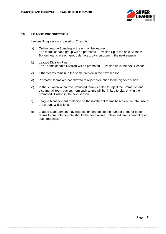

## **10. LEAGUE PROGRESSION**

League Progression is based on 2 results:

- a) Online League Standing at the end of the league Top teams of each group will be promoted 1 Division Up in the next Season; Bottom teams in each group demote 1 division down in the next season;
- b) League Division Final Top Teams of each Division will be promoted 1 Division up in the next Season;
- c) Other teams remain in the same division in the next season;
- d) Promoted teams are not allowed to reject promotion to the higher division.
- e) In the situation where the promoted team decided to reject the promotion and disband, all team players from such teams will be limited to play only in the promoted Division in the next season.
- f) League Management to decide on the number of teams based on the total size of the groups & divisions.
- g) League Management may request for changes to the number of top or bottom teams to promote/demote should the need arises. Selected teams cannot reject such requests.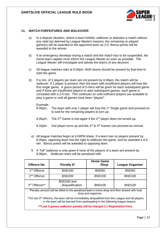

#### **11. MATCH FORFEITURES AND WALKOVER**

- a) In a dispute situation, where a team forfeits, walkover or abandon a match without any valid (as deemed by League Master) reasons, the remaining un-played game(s) will be awarded to the opponent team as 2-0. Bonus points will be awarded to the winner.
- b) If an emergency develops during a match and the match has to be suspended, the home team captain must inform the League Master as soon as possible. The League Master will investigate and advise the teams of any decision.
- c) All league matches start at 6.00pm. Both teams should be present by that time to start the game.
- d) If a min. of 2 players per team are not present by 8.00pm, the match will be walkover. If 1 player is present, then the team with insufficient players will lose the first single game. A grace period of 5-mins will be given for each subsequent game and if there are insufficient players to start subsequent games, each game is conceded with a 2-0 lost. This continues on until sufficient players are available to play a game or until all games have been "played".

#### Example:

- 8.00pm: The team with only 1 player will lose the 1<sup>st</sup> Single game and proceed on to wait for the remaining players to turn up.
- 8.05pm: The  $2^{nd}$  Game is lost again if the  $2^{nd}$  player does not turned up.
- 8.10pm: 2nd player turns up and the  $3^{rd}$  &  $4^{th}$  Games can proceed as normal.
- e) All league matches begin at 6.00PM sharp. If a team has no players present by 8.00pm, opposing team has the right to walkover the game, and be awarded a 9-0 win. Bonus points will be awarded to opposing team.
- f) A "full" walkover is only given if none of the players of a team are present by 8.00pm. Walkover team will be penalized with:

| Offence No.                                                                                                                                                                                  | Penalty \$*                    | <b>Home Game</b><br><b>Shop</b> | <b>League Organizer</b> |  |
|----------------------------------------------------------------------------------------------------------------------------------------------------------------------------------------------|--------------------------------|---------------------------------|-------------------------|--|
| 1 <sup>st</sup> Offence                                                                                                                                                                      | <b>BND100</b>                  | <b>BND50</b>                    | <b>BND50</b>            |  |
| 2 <sup>nd</sup> Offence                                                                                                                                                                      | <b>BND200</b>                  | <b>BND100</b>                   | <b>BND100</b>           |  |
| 3rd Offence**                                                                                                                                                                                | BND200 and<br>disqualification | <b>BND100</b>                   | <b>BND100</b>           |  |
| *Penalty amount will be billed to the penalized team's home shop and then shared with host<br>shop and organizer                                                                             |                                |                                 |                         |  |
| **On the 3 <sup>rd</sup> Offence, the team will be immediately disqualified from the League and all players<br>in the team will be banned from participating in the following league season. |                                |                                 |                         |  |
| *** Last 3 games walkover penalty will be charged 2 x Registration Fees.                                                                                                                     |                                |                                 |                         |  |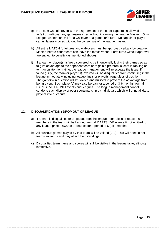g) No Team Captain (even with the agreement of the other captain), is allowed to forfeit or walkover any games/matches without informing the League Master. Only League Master can call for a walkover or a game forfeiture. No captain or player can unilaterally do so without the consensus of the league master.

**RRIINFI** 

- h) All entire MATCH forfeitures and walkovers must be approved verbally by League Master, before either team can leave the match venue. Forfeitures without approval are subject to penalty (as mentioned above).
- i) If a team or player(s) is/are discovered to be intentionally losing their games so as to give advantage to the opponent team or to gain a preferential spot in ranking or to manipulate their rating, the league management will investigate the issue. If found guilty, the team or player(s) involved will be disqualified from continuing in the league immediately including league finals or playoffs, regardless of position. The game(s) in question will be voided and nullified to prevent the advantage from being given. Such player(s) may also be ban for a period of 3-6 months from all DARTSLIVE BRUNEI events and leagues. The league management cannot condone such display of poor sportsmanship by individuals which will bring all darts players into disrepute.

## **12. DISQUALIFICATION / DROP OUT OF LEAGUE**

- a) If a team is disqualified or drops out from the league, regardless of reason, all members in the team will be banned from all DARTSLIVE events & not entitled to any league prizes, awards or refunds for a period of 6 (six) months.
- b) All previous games played by that team will be voided (0-0). This will affect other teams' rankings and may affect their standings.
- c) Disqualified team name and scores will still be visible in the league table, although ineffective.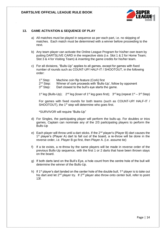

#### **13. GAME ACTIVATION & SEQUENCE OF PLAY**

- a) All matches must be played in sequence as per each part, i.e. no skipping of matches. Each match must be determined with a winner before proceeding to the next.
- b) Any team player can activate the Online League Program for his/her own team by putting DARTSLIVE CARD in the respective slots (i.e. Slot 1 & 2 for Home Team; Slot 3 & 4 for Visiting Team) & inserting the game credits for his/her team.
- c) For all divisions, "Bulls-Up" applies to all games, except for games with fixed number of rounds such as COUNT-UP/ HALF-IT / SHOOTOUT, in the following order:

| 1 <sup>st</sup> Step: | Machine coin flip feature (Cork) first                      |  |
|-----------------------|-------------------------------------------------------------|--|
| 2 <sup>nd</sup> Step: | Winner of cork proceeds with 'Bulls-Up', follow by opponent |  |
| 3 <sup>rd</sup> Step: | Dart closest to the bull's eye starts the game.             |  |
|                       |                                                             |  |

1<sup>st</sup> leg (Bulls-Up);  $2^{nd}$  leg (loser of 1<sup>st</sup> leg goes first);  $3^{rd}$  leg (repeat 1<sup>st</sup> – 3<sup>rd</sup> Step)

For games with fixed rounds for both teams (such as COUNT-UP/ HALF-IT / SHOOTOUT), the 1<sup>st</sup> step will determine who goes first.

\*SURVIVOR will require "Bulls-Up"

- d) For Singles, the participating player will perform the bulls-up. For doubles or trios games, Captain can nominate any of the 2/3 participating players to perform the Bulls-Up
- e) Each player will throw until a dart sticks. If the  $2^{nd}$  player's (Player B) dart causes the 1<sup>st</sup> player's (Player A) dart to fall out of the board, a re-throw will be done in the reverse order, i.e. Player B go first, then Player A. (i.e. assume tie)
- f) If a tie exists, a re-throw by the same players will be made in reverse order of the previous Bulls-Up sequence, with the first 1 or 2 darts that have been thrown stays on the board.
- g) If both darts land on the Bull's Eye, a hole count from the centre hole of the bull will determine the winner of the Bulls-Up.
- h) If 1<sup>st</sup> player's dart landed on the center hole of the double bull, 1<sup>st</sup> player is to take out his dart and let  $2^{nd}$  player try. If  $2^{nd}$  player also throw onto center bull, refer to point 13f.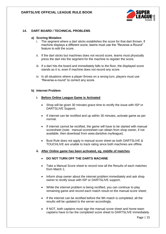

## **14. DART BOARD / TECHNICAL PROBLEMS**

#### **a) Scoring Mistakes**

- i. The segment where a dart sticks establishes the score for that dart thrown. If machine displays a different score, teams must use the "Reverse-a-Round" feature to edit the score.
- ii. If the dart sticks but machines does not record score, teams must physically press the dart into the segment for the machine to register the score.
- iii. If a dart hits the board and immediately falls to the floor, the displayed score stands as it is, even if machine does not record any score.
- iv. In all situations where a player throws on a wrong turn, players must use "Reverse-a-round" to correct any score.

#### **b) Internet Problem**

#### **i. Before Online League Game is Activated**

- Shop will be given 30 minutes grace time to rectify the issue with ISP or DARTSLIVE Support;
- If internet can be rectified and up within 30 minutes, activate game as per normal.
- If internet cannot be rectified, the game will have to be started with manual scoresheet (note: manual scoresheet can obtain from shop owner, if not available, then download from www.dartslive.my/league).
- Bust Rule does not apply in manual score sheet as both DARTSLIVE & TOUCHLIVE are unable to track rating since both machines are offline.
- **ii. After Online game has been activated, eg. middle of matches**
	- **DO NOT TURN OFF THE DARTS MACHINE**
	- Take a Manual Score sheet to record now all the Results of each matches from Match 1;
	- Inform shop owner about the internet problem immediately and ask shop owner to rectify issue with ISP or DARTSLIVE support;
	- While the internet problem is being rectified, you can continue to play remaining game and record each match result on the manual score sheet;
	- If the internet can be rectified before the 9th match is completed, all the results will be updated to the server accordingly.
	- If NOT, both captains must sign the manual score sheet and home team captains have to fax the completed score sheet to DARTSLIVE immediately.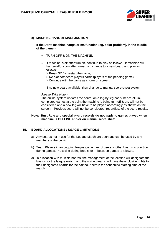

## **c) MACHINE HANG or MALFUNCTION**

**If the Darts machine hangs or malfunction (eg, color problem), in the middle of the game:-**

- TURN OFF & ON THE MACHINE;
- If machine is ok after turn on, continue to play as follows. If machine still hang/malfunction after turned on, change to a new board and play as follows:-
	- > Press "P1" to restart the game;
	- > Re-slot both team players cards (players of the pending game);
	- > Continue with the game as shown on screen;

If no new board available, then change to manual score sheet system.

#### *Please Take Note:-*

The online system updates the server on a leg-by-leg basis, hence all uncompleted games at the point the machine is being turn off & on, will not be considered and a new leg will have to be played accordingly as shown on the screen. Previous score will not be considered, regardless of the score results.

#### **Note: Bust Rule and special award records do not apply to games played when machine is OFFLINE and/or on manual score sheet.**

#### **15. BOARD ALLOCATIONS / USAGE LIMITATIONS**

- a) Any boards not in use for the League Match are open and can be used by any members of the public.
- b) Team Players in an ongoing league game cannot use any other boards to practice during games. Practicing during breaks or in-between games is allowed.
- c) In a location with multiple boards, the management of the location will designate the boards for the league match, and the visiting teams will have the exclusive rights to their designated boards for the half hour before the scheduled starting time of the match.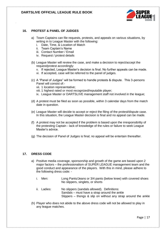

## **16. PROTEST & PANEL OF JUDGES**

- a) Team Captains can file requests, protests, and appeals on various situations, by writing in to League Master with the following:
	- i. Date, Time, & Location of Match
	- ii. Team Captain's Name
	- iii. Contact Number / Email
	- iv. Request / protest details
- (b) League Master will review the case, and make a decision to reject/accept the request/protest accordingly:
	- v. If rejected, League Master's decision is final. No further appeals can be made.
	- vi. If accepted, case will be referred to the panel of judges.
- (c) A "Panel of Judges" will be formed to handle protests & dispute. This 3-persons Panel will consist of:
	- vii. 1 location representative;
	- viii. 1 highest rated or most recognized/reputable player;
	- ix. League Master or DARTSLIVE management staff not involved in the league;
- (d) A protest must be filed as soon as possible, within 3 calendar days from the match date in question.
- (e) League Master will decide to accept or reject the filing of the protest/dispute case. In this situation, the League Master decision is final and no appeal can be made.
- (f) A protest may not be accepted if the problem is based upon the irresponsibility of the protesting Captain - lack of knowledge of the rules or failure to seek League Master's advice.
- (g) The decision of Panel of Judges is final; no appeal will be entertain thereafter.

## **17. DRESS CODE**

- a) Positive media coverage, sponsorship and growth of the game are based upon 2 major factors – the professionalism of SUPER LEAGUE management team and the good conduct and appearance of the players. With this in mind, please adhere to the following dress code:
	- i. Men: Long Pants/Jeans or 3/4 pants (below knee) with covered shoes No slippers, singlets, or shorts
	- ii. Ladies: No slippers (sandals allowed). Definitions: Sandals – must have a strap around the ankle Slippers – thongs & slip on without any strap around the ankle
- (h) Player who does not abide to the above dress code will not be allowed to play in any league matches.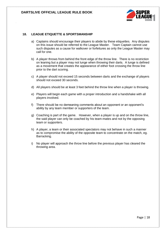

#### **18. LEAGUE ETIQUETTE & SPORTSMANSHIP**

- a) Captains should encourage their players to abide by these etiquettes. Any disputes on this issue should be referred to the League Master. Team Captain cannot use such disputes as a cause for walkover or forfeitures as only the League Master may call for one.
- b) A player throws from behind the front edge of the throw line. There is no restriction on leaning but a player may not lunge when throwing their darts. A lunge is defined as a movement that creates the appearance of either foot crossing the throw line prior to the dart scoring.
- c) A player should not exceed 15 seconds between darts and the exchange of players should not exceed 30 seconds.
- d) All players should be at least 3 feet behind the throw line when a player is throwing.
- e) Players will begin each game with a proper introduction and a handshake with all players involved.
- f) There should be no demeaning comments about an opponent or an opponent's ability by any team member or supporters of the team.
- g) Coaching is part of the game. However, when a player is up and on the throw line, the said player can only be coached by his team-mates and not by the opposing team or supporters.
- h) A player, a team or their associated spectators may not behave in such a manner as to compromise the ability of the opposite team to concentrate on the match, eg. Barracking.
- i) No player will approach the throw line before the previous player has cleared the throwing area.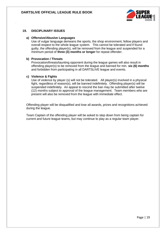

#### **19. DISCIPLINARY ISSUES**

#### **a) Offensive/Abusive Languages**

Use of vulgar language demeans the sports, the shop environment, fellow players and overall respect to the whole league system. This cannot be tolerated and if found guilty, the offending player(s), will be removed from the league and suspended for a minimum period of **three (3) months or longer** for repeat offender.

#### **b) Provocation / Threats**

Provocation/threats/taunting opponent during the league games will also result in offending player(s) to be removed from the league and banned for min. **six (6) months**  and forbidden from participating in all DARTSLIVE league and events.

#### **c) Violence & Fights**

Use of violence by player (s) will not be tolerated. All player(s) involved in a physical fight, regardless of reason(s), will be banned indefinitely. Offending player(s) will be suspended indefinitely. An appeal to rescind the ban may be submitted after twelve (12) months subject to approval of the league management. Team members who are present will also be removed from the league with immediate effect.

Offending player will be disqualified and lose all awards, prizes and recognitions achieved during the league.

Team Captain of the offending player will be asked to step down from being captain for current and future league teams, but may continue to play as a regular team player.